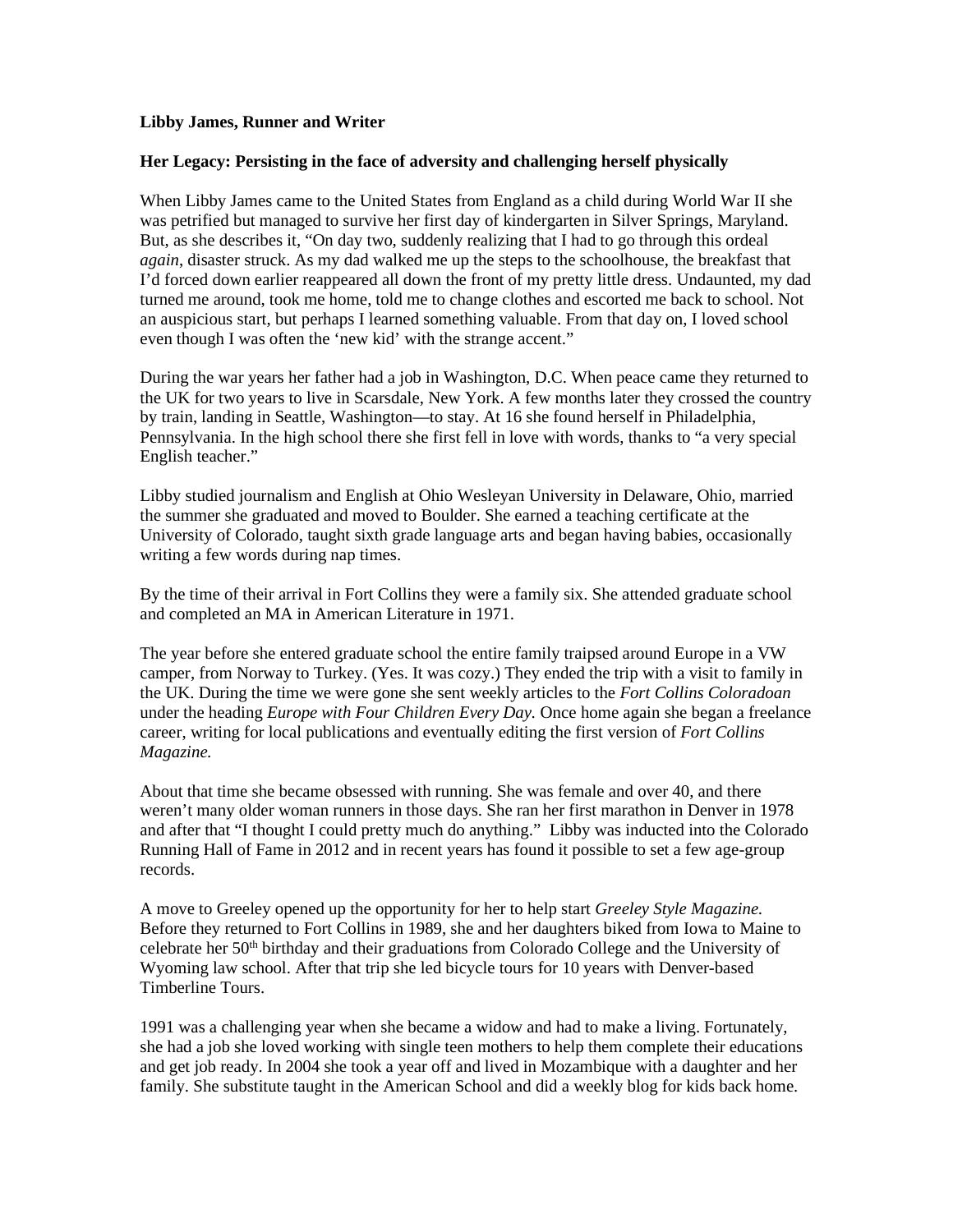## **Libby James, Runner and Writer**

## **Her Legacy: Persisting in the face of adversity and challenging herself physically**

When Libby James came to the United States from England as a child during World War II she was petrified but managed to survive her first day of kindergarten in Silver Springs, Maryland. But, as she describes it, "On day two, suddenly realizing that I had to go through this ordeal *again*, disaster struck. As my dad walked me up the steps to the schoolhouse, the breakfast that I'd forced down earlier reappeared all down the front of my pretty little dress. Undaunted, my dad turned me around, took me home, told me to change clothes and escorted me back to school. Not an auspicious start, but perhaps I learned something valuable. From that day on, I loved school even though I was often the 'new kid' with the strange accent."

During the war years her father had a job in Washington, D.C. When peace came they returned to the UK for two years to live in Scarsdale, New York. A few months later they crossed the country by train, landing in Seattle, Washington—to stay. At 16 she found herself in Philadelphia, Pennsylvania. In the high school there she first fell in love with words, thanks to "a very special English teacher."

Libby studied journalism and English at Ohio Wesleyan University in Delaware, Ohio, married the summer she graduated and moved to Boulder. She earned a teaching certificate at the University of Colorado, taught sixth grade language arts and began having babies, occasionally writing a few words during nap times.

By the time of their arrival in Fort Collins they were a family six. She attended graduate school and completed an MA in American Literature in 1971.

The year before she entered graduate school the entire family traipsed around Europe in a VW camper, from Norway to Turkey. (Yes. It was cozy.) They ended the trip with a visit to family in the UK. During the time we were gone she sent weekly articles to the *Fort Collins Coloradoan*  under the heading *Europe with Four Children Every Day.* Once home again she began a freelance career, writing for local publications and eventually editing the first version of *Fort Collins Magazine.*

About that time she became obsessed with running. She was female and over 40, and there weren't many older woman runners in those days. She ran her first marathon in Denver in 1978 and after that "I thought I could pretty much do anything." Libby was inducted into the Colorado Running Hall of Fame in 2012 and in recent years has found it possible to set a few age-group records.

A move to Greeley opened up the opportunity for her to help start *Greeley Style Magazine.*  Before they returned to Fort Collins in 1989, she and her daughters biked from Iowa to Maine to celebrate her 50<sup>th</sup> birthday and their graduations from Colorado College and the University of Wyoming law school. After that trip she led bicycle tours for 10 years with Denver-based Timberline Tours.

1991 was a challenging year when she became a widow and had to make a living. Fortunately, she had a job she loved working with single teen mothers to help them complete their educations and get job ready. In 2004 she took a year off and lived in Mozambique with a daughter and her family. She substitute taught in the American School and did a weekly blog for kids back home.